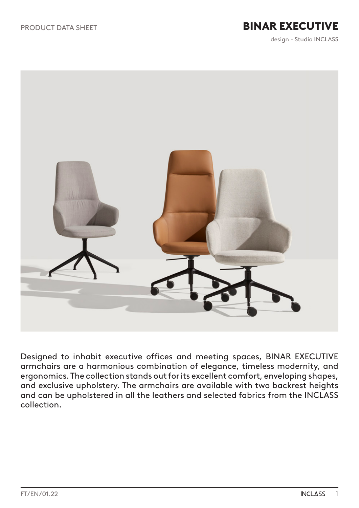# BINAR EXECUTIVE

design - Studio INCLASS

<span id="page-0-0"></span>

Designed to inhabit executive offices and meeting spaces, BINAR EXECUTIVE armchairs are a harmonious combination of elegance, timeless modernity, and ergonomics. The collection stands out for its excellent comfort, enveloping shapes, and exclusive upholstery. The armchairs are available with two backrest heights and can be upholstered in all the leathers and selected fabrics from the INCLASS collection.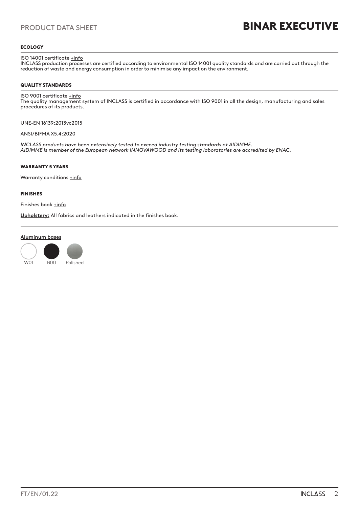### **ECOLOGY**

ISO 14001 certificate **+info** 

INCLASS production processes are certified according to environmental ISO 14001 quality standards and are carried out through the reduction of waste and energy consumption in order to minimise any impact on the environment.

### QUALITY STANDARDS

## ISO 9001 certificate  $\pm$ info

The quality management system of INCLASS is certified in accordance with ISO 9001 in all the design, manufacturing and sales procedures of its products.

UNE-EN 16139:2013vc2015

ANSI/BIFMA X5.4:2020

*INCLASS products have been extensively tested to exceed industry testing standards at AIDIMME. AIDIMME is member of the European network INNOVAWOOD and its testing laboratories are accredited by ENAC.*

### WARRANTY 5 YEARS

Warranty conditions [+info](#page-0-0)

### FINISHES

Finishes book [+info](https://inclass.es/wp-content/files_mf/1641568111BINARexecutive_FinishesBook.pdf)

**Upholstery:** All fabrics and leathers indicated in the finishes book.

### **Aluminum bases**

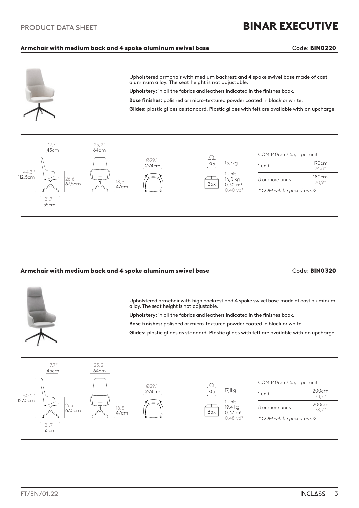### Armchair with medium back and 4 spoke aluminum swivel base **Code: BIN0220** Code: BIN0220



Upholstered armchair with medium backrest and 4 spoke swivel base made of cast aluminum alloy. The seat height is not adjustable.

**Upholstery:** in all the fabrics and leathers indicated in the finishes book.

**Base finishes:** polished or micro-textured powder coated in black or white.

**Glides:** plastic glides as standard. Plastic glides with felt are available with an upcharge.



### Armchair with medium back and 4 spoke aluminum swivel base **Code: BIN0320** Code: BIN0320



Upholstered armchair with high backrest and 4 spoke swivel base made of cast aluminum alloy. The seat height is not adjustable.

**Upholstery:** in all the fabrics and leathers indicated in the finishes book.

**Base finishes:** polished or micro-textured powder coated in black or white.

**Glides:** plastic glides as standard. Plastic glides with felt are available with an upcharge.

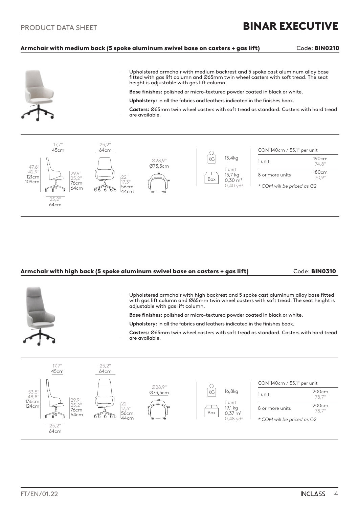### Armchair with medium back (5 spoke aluminum swivel base on casters + gas lift) Code: BIN0210



Upholstered armchair with medium backrest and 5 spoke cast aluminum alloy base fitted with gas lift column and Ø65mm twin wheel casters with soft tread. The seat height is adjustable with gas lift column.

**Base finishes:** polished or micro-textured powder coated in black or white.

**Upholstery:** in all the fabrics and leathers indicated in the finishes book.

**Casters:** Ø65mm twin wheel casters with soft tread as standard. Casters with hard tread are available.



### Armchair with high back (5 spoke aluminum swivel base on casters + gas lift) Code: BIN0310



Upholstered armchair with high backrest and 5 spoke cast aluminum alloy base fitted with gas lift column and Ø65mm twin wheel casters with soft tread. The seat height is adjustable with gas lift column.

**Base finishes:** polished or micro-textured powder coated in black or white.

**Upholstery:** in all the fabrics and leathers indicated in the finishes book.

**Casters:** Ø65mm twin wheel casters with soft tread as standard. Casters with hard tread are available.

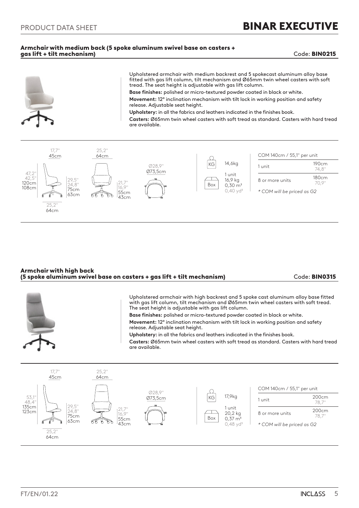### Armchair with medium back (5 spoke aluminum swivel base on casters + gas lift + tilt mechanism) Code: BIN0215



### Armchair with high back (5 spoke aluminum swivel base on casters + gas lift + tilt mechanism) Code: BIN0315

Upholstered armchair with high backrest and 5 spoke cast aluminum alloy base fitted with gas lift column, tilt mechanism and Ø65mm twin wheel casters with soft tread. The seat height is adjustable with gas lift column. **Base finishes:** polished or micro-textured powder coated in black or white. **Movement:** 12º inclination mechanism with tilt lock in working position and safety release. Adjustable seat height. **Upholstery:** in all the fabrics and leathers indicated in the finishes book. **Casters:** Ø65mm twin wheel casters with soft tread as standard. Casters with hard tread are available. 25,2''  $177$ 45cm 64cm COM 140cm / 55,1" per unit Ø28,9''  $\bigcirc$  $\widehat{KG}$  17,9kg 53,1" Ø73,5cm  $1 \text{ unit}$  200 $\text{cm}$  $48.4"$ 78,7'' 135cm 29,5'' 1 unit 21,7''  $8 \text{ or more units}$  200cm 123cm 24,8"  $\top$ 20,2 kg 16,9" 75cm 78,7'' Box  $0,37 \, \text{m}$ 55cm 63cm 43cm  $0.48$  yd<sup>3</sup> *\* COM will be priced as G2*  $25,2'$ 64cm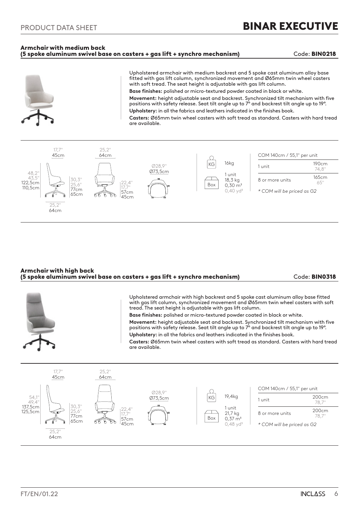25,2''

 $\alpha$ 77cm 65cm

110,5cm

*\* COM will be priced as G2*

### Armchair with medium back (5 spoke aluminum swivel base on casters + gas lift + synchro mechanism) Code: BIN0218

17,7" 57cm  $45cm$ 



| 64cm |  |  |  |  |
|------|--|--|--|--|
|      |  |  |  |  |
|      |  |  |  |  |
|      |  |  |  |  |
|      |  |  |  |  |

| Armchair with high back<br>(5 spoke aluminum swivel base on casters + gas lift + synchro mechanism) | Code: BIN0318 |
|-----------------------------------------------------------------------------------------------------|---------------|
|                                                                                                     |               |

Upholstered armchair with high backrest and 5 spoke cast aluminum alloy base fitted with gas lift column, synchronized movement and Ø65mm twin wheel casters with soft tread. The seat height is adjustable with gas lift column.

 $0.30 \text{ m}^3$  $0.40$  yd<sup>3</sup>

Box

**Base finishes:** polished or micro-textured powder coated in black or white. **Movement:** height adjustable seat and backrest. Synchronized tilt mechanism with five

positions with safety release. Seat tilt angle up to 7º and backrest tilt angle up to 19º. **Upholstery:** in all the fabrics and leathers indicated in the finishes book.

**Casters:** Ø65mm twin wheel casters with soft tread as standard. Casters with hard tread are available.